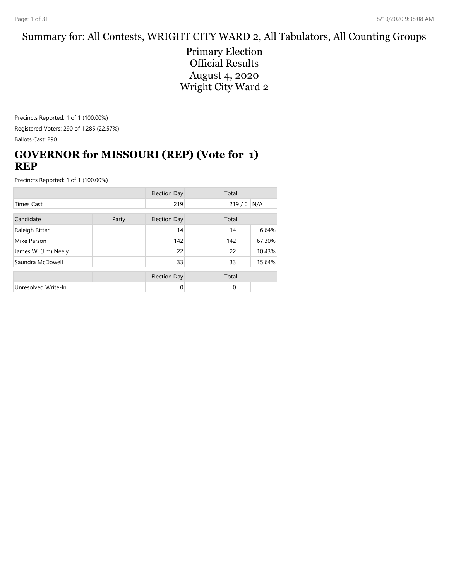#### Summary for: All Contests, WRIGHT CITY WARD 2, All Tabulators, All Counting Groups

Primary Election Official Results August 4, 2020 Wright City Ward 2

Precincts Reported: 1 of 1 (100.00%) Registered Voters: 290 of 1,285 (22.57%) Ballots Cast: 290

## **GOVERNOR for MISSOURI (REP) (Vote for 1) REP**

|                      |  | <b>Election Day</b> | Total    |        |
|----------------------|--|---------------------|----------|--------|
| <b>Times Cast</b>    |  | 219                 | 219/0    | N/A    |
| Candidate<br>Party   |  | <b>Election Day</b> | Total    |        |
| Raleigh Ritter       |  | 14                  | 14       | 6.64%  |
| Mike Parson          |  | 142                 | 142      | 67.30% |
| James W. (Jim) Neely |  | 22                  | 22       | 10.43% |
| Saundra McDowell     |  | 33                  | 33       | 15.64% |
|                      |  | <b>Election Day</b> | Total    |        |
| Unresolved Write-In  |  | 0                   | $\Omega$ |        |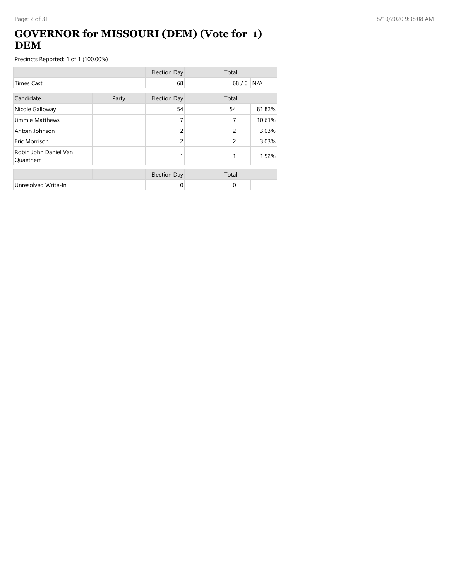## **GOVERNOR for MISSOURI (DEM) (Vote for 1) DEM**

|                                   |       | <b>Election Day</b> | Total          |        |
|-----------------------------------|-------|---------------------|----------------|--------|
| <b>Times Cast</b>                 |       | 68                  | 68/0           | N/A    |
| Candidate                         | Party | <b>Election Day</b> | Total          |        |
| Nicole Galloway                   |       | 54                  | 54             | 81.82% |
| Jimmie Matthews                   |       | 7                   | 7              | 10.61% |
| Antoin Johnson                    |       | $\overline{c}$      | $\overline{2}$ | 3.03%  |
| Eric Morrison                     |       | $\overline{c}$      | 2              | 3.03%  |
| Robin John Daniel Van<br>Quaethem |       |                     | 1              | 1.52%  |
|                                   |       | <b>Election Day</b> | Total          |        |
| Unresolved Write-In               |       | 0                   | 0              |        |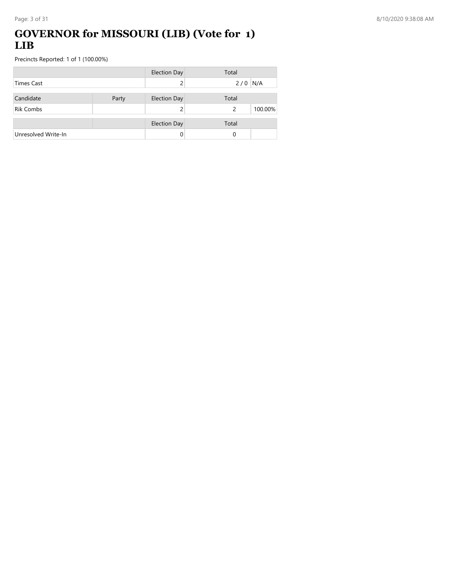#### **GOVERNOR for MISSOURI (LIB) (Vote for 1) LIB**

|                     |       | <b>Election Day</b> | Total |         |
|---------------------|-------|---------------------|-------|---------|
| Times Cast          |       |                     | 2/0   | N/A     |
| Candidate           | Party | <b>Election Day</b> | Total |         |
| <b>Rik Combs</b>    |       |                     | 2     | 100.00% |
|                     |       | <b>Election Day</b> | Total |         |
| Unresolved Write-In |       |                     | 0     |         |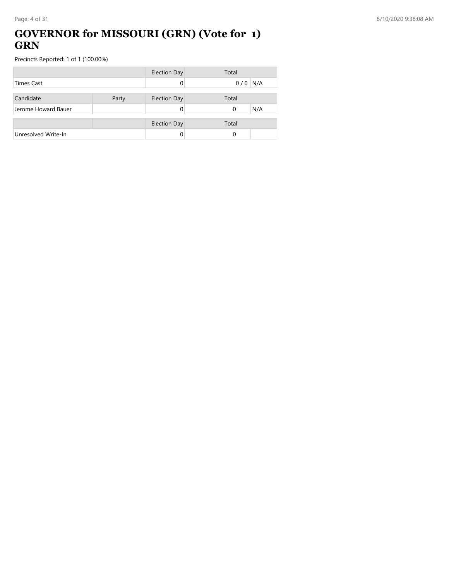### **GOVERNOR for MISSOURI (GRN) (Vote for 1) GRN**

|                     |       | <b>Election Day</b> | Total           |
|---------------------|-------|---------------------|-----------------|
| <b>Times Cast</b>   |       |                     | N/A<br>0/0      |
|                     |       |                     |                 |
| Candidate           | Party | <b>Election Day</b> | Total           |
| Jerome Howard Bauer |       |                     | N/A<br>$\Omega$ |
|                     |       |                     |                 |
|                     |       | <b>Election Day</b> | Total           |
| Unresolved Write-In |       |                     | 0               |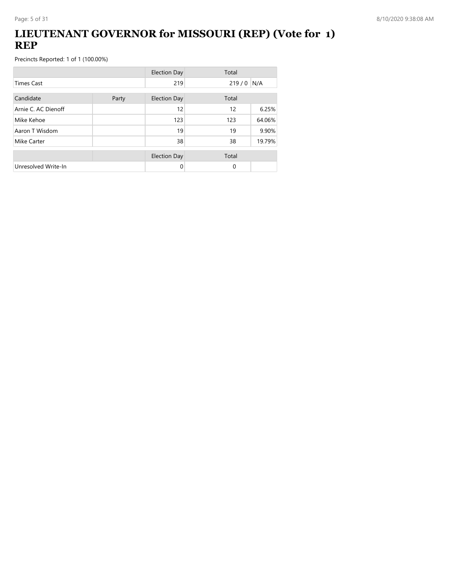### **LIEUTENANT GOVERNOR for MISSOURI (REP) (Vote for 1) REP**

|                     |       | <b>Election Day</b> | Total       |        |
|---------------------|-------|---------------------|-------------|--------|
| <b>Times Cast</b>   |       | 219                 | $219/0$ N/A |        |
| Candidate           | Party | <b>Election Day</b> | Total       |        |
| Arnie C. AC Dienoff |       | 12                  | 12          | 6.25%  |
| Mike Kehoe          |       | 123                 | 123         | 64.06% |
| Aaron T Wisdom      |       | 19                  | 19          | 9.90%  |
| Mike Carter         |       | 38                  | 38          | 19.79% |
|                     |       | <b>Election Day</b> | Total       |        |
| Unresolved Write-In |       | 0                   | $\Omega$    |        |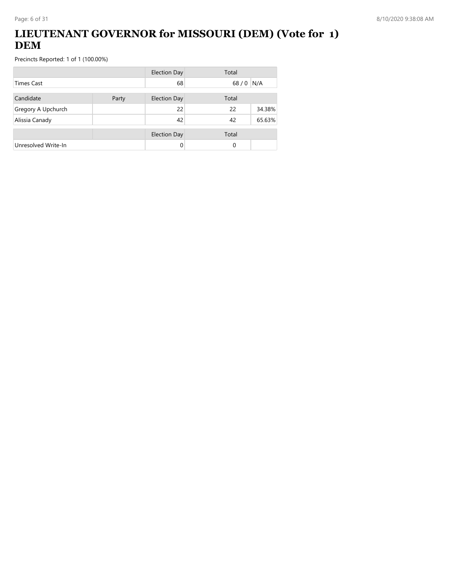## **LIEUTENANT GOVERNOR for MISSOURI (DEM) (Vote for 1) DEM**

|                     |       | <b>Election Day</b> | Total  |        |
|---------------------|-------|---------------------|--------|--------|
| Times Cast          |       | 68                  | $68/0$ | N/A    |
| Candidate           | Party | <b>Election Day</b> | Total  |        |
| Gregory A Upchurch  |       | 22                  | 22     | 34.38% |
| Alissia Canady      |       | 42                  | 42     | 65.63% |
|                     |       | <b>Election Day</b> | Total  |        |
| Unresolved Write-In |       | $\Omega$            | 0      |        |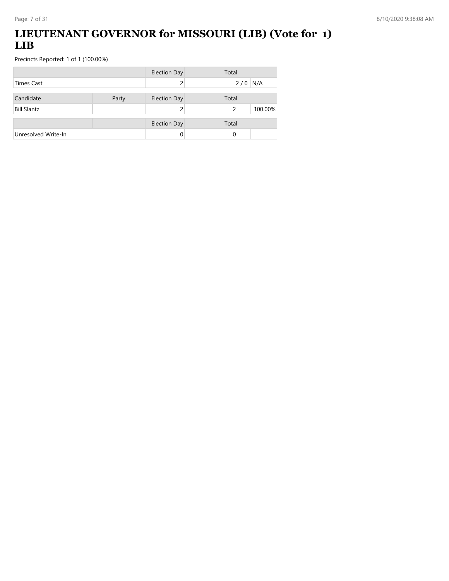## **LIEUTENANT GOVERNOR for MISSOURI (LIB) (Vote for 1) LIB**

|                     |       | <b>Election Day</b> | Total        |
|---------------------|-------|---------------------|--------------|
| Times Cast          |       |                     | N/A<br>2/0   |
| Candidate           | Party | <b>Election Day</b> | Total        |
| <b>Bill Slantz</b>  |       |                     | 100.00%<br>2 |
|                     |       | <b>Election Day</b> | Total        |
| Unresolved Write-In |       |                     | 0            |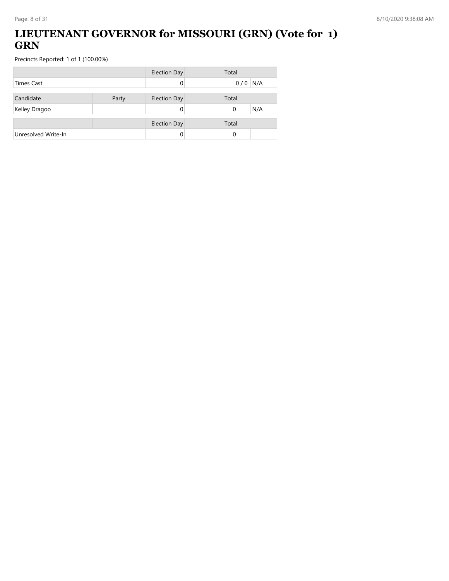## **LIEUTENANT GOVERNOR for MISSOURI (GRN) (Vote for 1) GRN**

|                     |       | <b>Election Day</b> | Total           |
|---------------------|-------|---------------------|-----------------|
| <b>Times Cast</b>   |       |                     | $0/0$ N/A       |
| Candidate           | Party | <b>Election Day</b> | Total           |
| Kelley Dragoo       |       |                     | N/A<br>$\Omega$ |
|                     |       | <b>Election Day</b> | Total           |
| Unresolved Write-In |       |                     | 0               |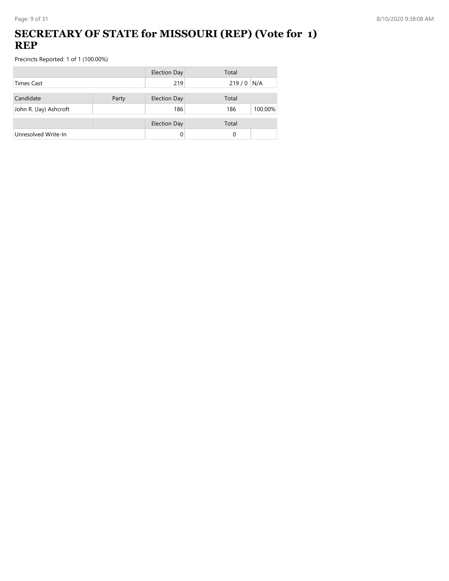## **SECRETARY OF STATE for MISSOURI (REP) (Vote for 1) REP**

|                        |       | <b>Election Day</b> | Total          |
|------------------------|-------|---------------------|----------------|
| <b>Times Cast</b>      |       | 219                 | $219/0$ N/A    |
| Candidate              | Party | <b>Election Day</b> | Total          |
| John R. (Jay) Ashcroft |       | 186                 | 100.00%<br>186 |
|                        |       | <b>Election Day</b> | Total          |
| Unresolved Write-In    |       |                     | 0              |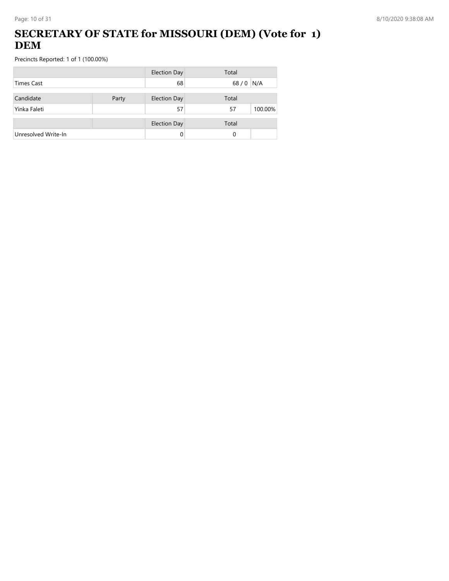## **SECRETARY OF STATE for MISSOURI (DEM) (Vote for 1) DEM**

|                     |       | <b>Election Day</b> | Total         |
|---------------------|-------|---------------------|---------------|
| Times Cast          |       | 68                  | $68/0$<br>N/A |
| Candidate           | Party | <b>Election Day</b> | Total         |
| Yinka Faleti        |       | 57                  | 100.00%<br>57 |
|                     |       | <b>Election Day</b> | Total         |
| Unresolved Write-In |       | 0                   | 0             |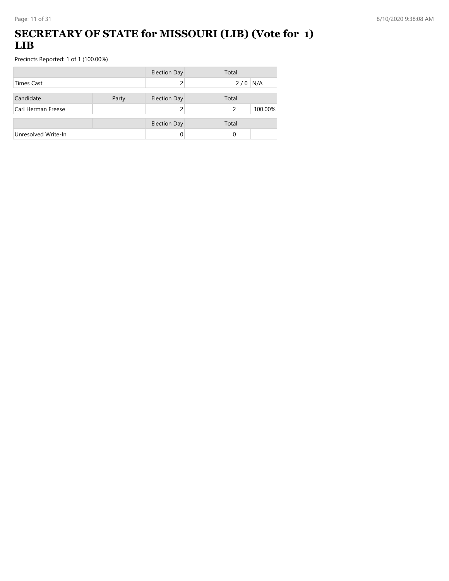#### **SECRETARY OF STATE for MISSOURI (LIB) (Vote for 1) LIB**

|                     |       | <b>Election Day</b> | Total        |
|---------------------|-------|---------------------|--------------|
| <b>Times Cast</b>   |       |                     | N/A<br>2/0   |
| Candidate           | Party | <b>Election Day</b> | Total        |
| Carl Herman Freese  |       |                     | 100.00%<br>2 |
|                     |       | <b>Election Day</b> | Total        |
| Unresolved Write-In |       |                     | 0            |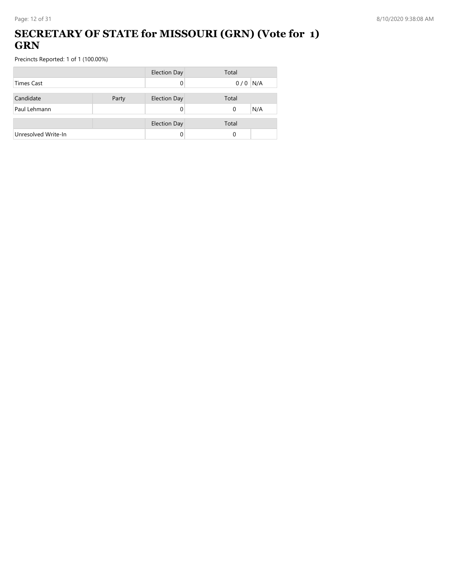### **SECRETARY OF STATE for MISSOURI (GRN) (Vote for 1) GRN**

|                     |       | <b>Election Day</b> | Total           |
|---------------------|-------|---------------------|-----------------|
| <b>Times Cast</b>   |       |                     | $0/0$ N/A       |
| Candidate           | Party | <b>Election Day</b> | Total           |
| Paul Lehmann        |       |                     | N/A<br>$\Omega$ |
|                     |       | <b>Election Day</b> | Total           |
| Unresolved Write-In |       |                     | 0               |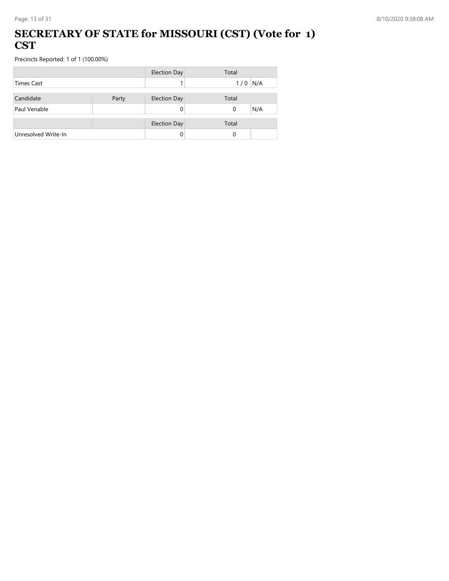#### **SECRETARY OF STATE for MISSOURI (CST) (Vote for 1) CST**

|                     |       | <b>Election Day</b> | Total     |
|---------------------|-------|---------------------|-----------|
| <b>Times Cast</b>   |       |                     | $1/0$ N/A |
|                     |       |                     |           |
| Candidate           | Party | <b>Election Day</b> | Total     |
| Paul Venable        |       |                     | N/A<br>0  |
|                     |       |                     |           |
|                     |       | <b>Election Day</b> | Total     |
| Unresolved Write-In |       |                     | $\Omega$  |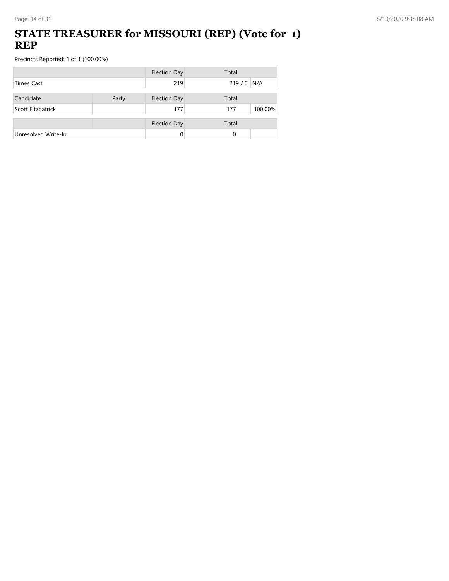### **STATE TREASURER for MISSOURI (REP) (Vote for 1) REP**

|                     |       | <b>Election Day</b> | Total          |
|---------------------|-------|---------------------|----------------|
| <b>Times Cast</b>   |       | 219                 | $219/0$ N/A    |
| Candidate           |       | <b>Election Day</b> | Total          |
|                     | Party |                     |                |
| Scott Fitzpatrick   |       | 177                 | 100.00%<br>177 |
|                     |       | <b>Election Day</b> | Total          |
| Unresolved Write-In |       | 0                   | 0              |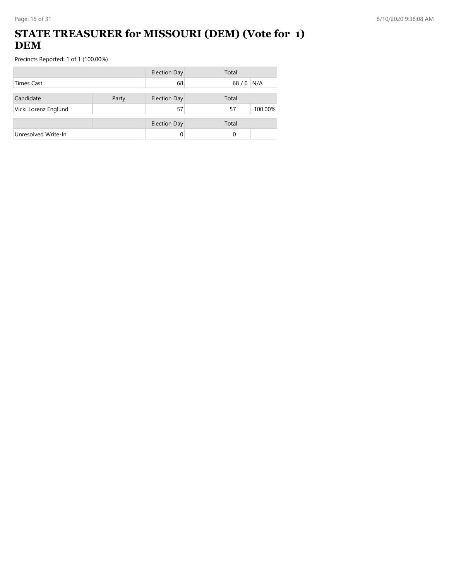## **STATE TREASURER for MISSOURI (DEM) (Vote for 1) DEM**

|                      |       | <b>Election Day</b> | Total         |
|----------------------|-------|---------------------|---------------|
| <b>Times Cast</b>    |       | 68                  | 68/0<br>N/A   |
| Candidate            | Party | <b>Election Day</b> | Total         |
| Vicki Lorenz Englund |       | 57                  | 100.00%<br>57 |
|                      |       | <b>Election Day</b> | Total         |
| Unresolved Write-In  |       |                     | 0             |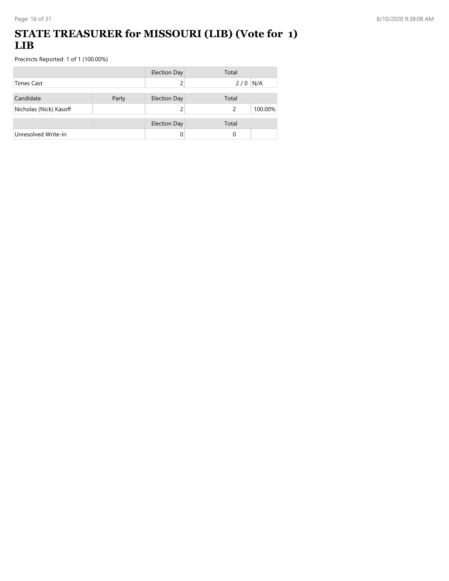### **STATE TREASURER for MISSOURI (LIB) (Vote for 1) LIB**

|                        |       | <b>Election Day</b> | Total        |
|------------------------|-------|---------------------|--------------|
| <b>Times Cast</b>      |       |                     | N/A<br>2/0   |
| Candidate              | Party | <b>Election Day</b> | Total        |
| Nicholas (Nick) Kasoff |       |                     | 100.00%<br>2 |
|                        |       | <b>Election Day</b> | Total        |
| Unresolved Write-In    |       | 0                   | 0            |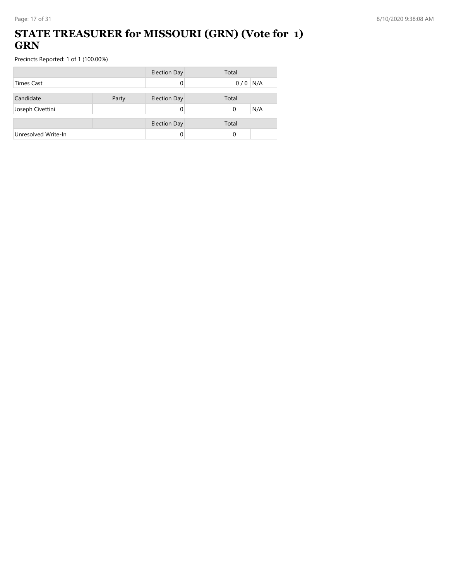### **STATE TREASURER for MISSOURI (GRN) (Vote for 1) GRN**

|                     |       | <b>Election Day</b> | Total           |
|---------------------|-------|---------------------|-----------------|
| <b>Times Cast</b>   |       |                     | $0/0$ N/A       |
| Candidate           | Party | <b>Election Day</b> | Total           |
| Joseph Civettini    |       |                     | N/A<br>$\Omega$ |
|                     |       | <b>Election Day</b> | Total           |
| Unresolved Write-In |       |                     | 0               |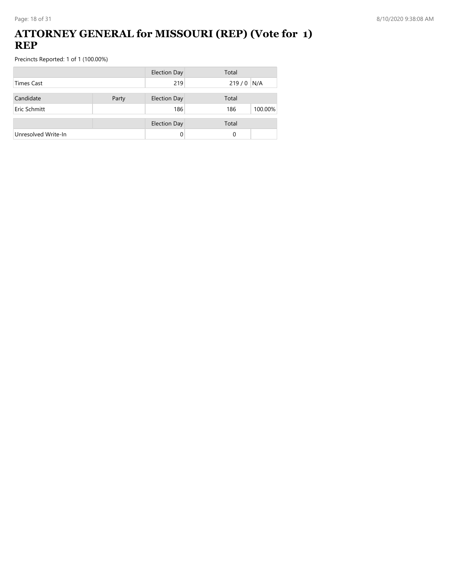#### **ATTORNEY GENERAL for MISSOURI (REP) (Vote for 1) REP**

|                     |       | <b>Election Day</b> | Total          |
|---------------------|-------|---------------------|----------------|
| <b>Times Cast</b>   |       | 219                 | $219/0$ N/A    |
| Candidate           | Party | <b>Election Day</b> | Total          |
| Eric Schmitt        |       | 186                 | 100.00%<br>186 |
|                     |       |                     |                |
|                     |       | <b>Election Day</b> | Total          |
| Unresolved Write-In |       | 0                   | 0              |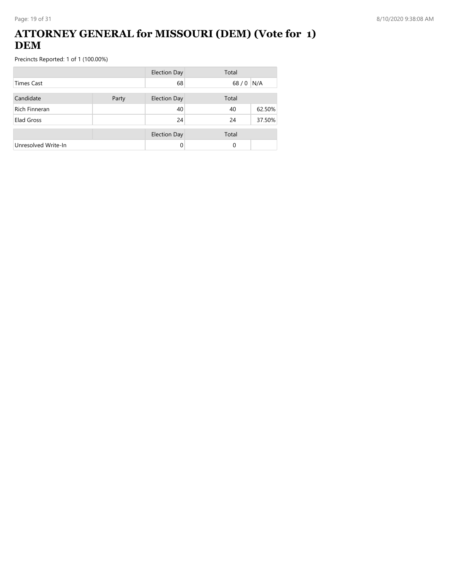### **ATTORNEY GENERAL for MISSOURI (DEM) (Vote for 1) DEM**

|                      |  | <b>Election Day</b> | Total    |        |
|----------------------|--|---------------------|----------|--------|
| <b>Times Cast</b>    |  | 68                  | $68/0$   | N/A    |
| Candidate<br>Party   |  | <b>Election Day</b> | Total    |        |
| <b>Rich Finneran</b> |  | 40                  | 40       | 62.50% |
| Elad Gross           |  | 24                  | 24       | 37.50% |
|                      |  | <b>Election Day</b> | Total    |        |
| Unresolved Write-In  |  | 0                   | $\Omega$ |        |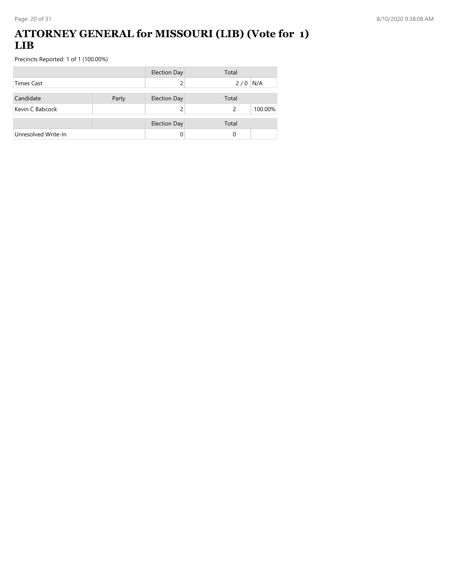#### **ATTORNEY GENERAL for MISSOURI (LIB) (Vote for 1) LIB**

|                     |       | <b>Election Day</b> | Total        |
|---------------------|-------|---------------------|--------------|
| <b>Times Cast</b>   |       |                     | N/A<br>2/0   |
| Candidate           | Party | <b>Election Day</b> | Total        |
| Kevin C Babcock     |       |                     | 100.00%<br>2 |
|                     |       | <b>Election Day</b> | Total        |
| Unresolved Write-In |       | 0                   | 0            |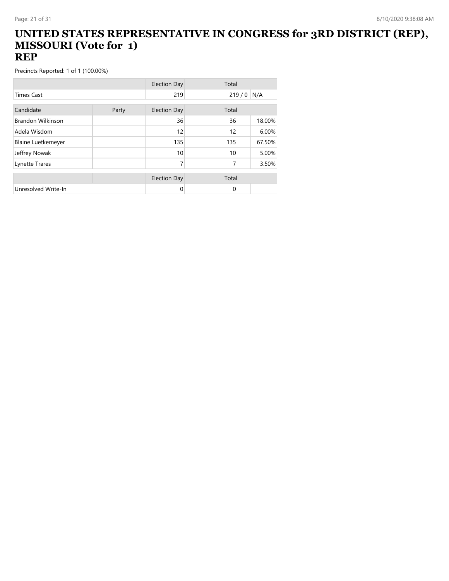#### **UNITED STATES REPRESENTATIVE IN CONGRESS for 3RD DISTRICT (REP), MISSOURI (Vote for 1) REP**

|                           |       | <b>Election Day</b> | Total    |        |
|---------------------------|-------|---------------------|----------|--------|
| <b>Times Cast</b>         |       | 219                 | 219/0    | N/A    |
| Candidate                 | Party | <b>Election Day</b> | Total    |        |
| <b>Brandon Wilkinson</b>  |       | 36                  | 36       | 18.00% |
| Adela Wisdom              |       | 12                  | 12       | 6.00%  |
| <b>Blaine Luetkemeyer</b> |       | 135                 | 135      | 67.50% |
| Jeffrey Nowak             |       | 10                  | 10       | 5.00%  |
| Lynette Trares            |       | 7                   | 7        | 3.50%  |
|                           |       | <b>Election Day</b> | Total    |        |
| Unresolved Write-In       |       | 0                   | $\Omega$ |        |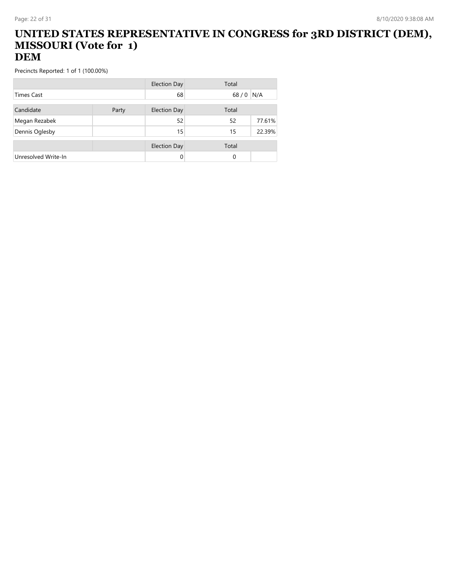#### **UNITED STATES REPRESENTATIVE IN CONGRESS for 3RD DISTRICT (DEM), MISSOURI (Vote for 1) DEM**

|                     |       | Election Day        | Total    |        |
|---------------------|-------|---------------------|----------|--------|
| <b>Times Cast</b>   |       | 68                  | 68/0     | N/A    |
| Candidate           | Party | <b>Election Day</b> | Total    |        |
| Megan Rezabek       |       | 52                  | 52       | 77.61% |
| Dennis Oglesby      |       | 15                  | 15       | 22.39% |
|                     |       | <b>Election Day</b> | Total    |        |
| Unresolved Write-In |       | 0                   | $\Omega$ |        |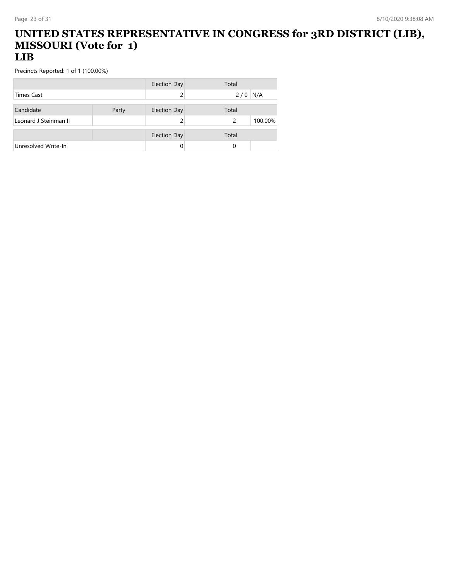#### **UNITED STATES REPRESENTATIVE IN CONGRESS for 3RD DISTRICT (LIB), MISSOURI (Vote for 1) LIB**

|                       |       | Election Day        | Total         |         |
|-----------------------|-------|---------------------|---------------|---------|
| <b>Times Cast</b>     |       |                     | 2/0           | N/A     |
|                       |       |                     |               |         |
| Candidate             | Party | <b>Election Day</b> | Total         |         |
| Leonard J Steinman II |       |                     | $\mathcal{P}$ | 100.00% |
|                       |       |                     |               |         |
|                       |       | <b>Election Day</b> | Total         |         |
| Unresolved Write-In   |       |                     | 0             |         |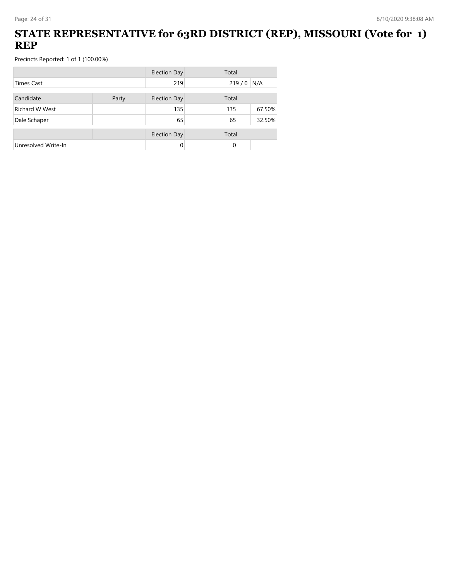### **STATE REPRESENTATIVE for 63RD DISTRICT (REP), MISSOURI (Vote for 1) REP**

|                       |       | <b>Election Day</b> | Total    |        |
|-----------------------|-------|---------------------|----------|--------|
| Times Cast            |       | 219                 | 219/0    | N/A    |
| Candidate             | Party | <b>Election Day</b> | Total    |        |
| <b>Richard W West</b> |       | 135                 | 135      | 67.50% |
| Dale Schaper          |       | 65                  | 65       | 32.50% |
|                       |       | <b>Election Day</b> | Total    |        |
| Unresolved Write-In   |       | 0                   | $\Omega$ |        |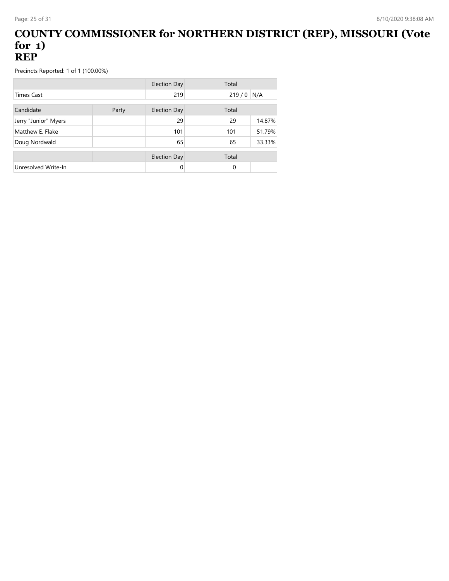#### **COUNTY COMMISSIONER for NORTHERN DISTRICT (REP), MISSOURI (Vote for 1) REP**

|                      |       | Election Day        | Total         |
|----------------------|-------|---------------------|---------------|
| <b>Times Cast</b>    |       | 219                 | N/A<br>219/0  |
| Candidate            | Party | <b>Election Day</b> | Total         |
| Jerry "Junior" Myers |       | 29                  | 14.87%<br>29  |
| Matthew E. Flake     |       | 101                 | 51.79%<br>101 |
| Doug Nordwald        |       | 65                  | 33.33%<br>65  |
|                      |       | Election Day        | Total         |
| Unresolved Write-In  |       | 0                   | $\Omega$      |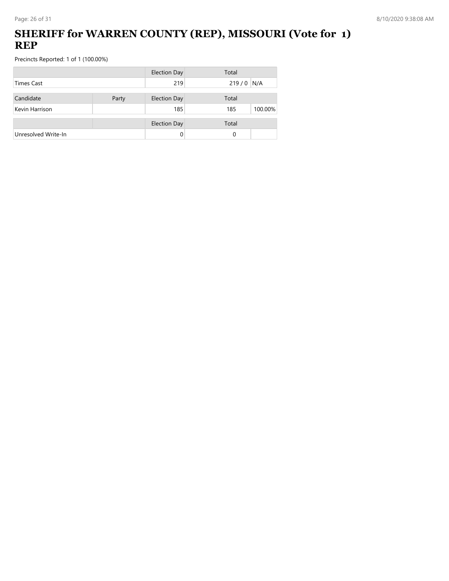## **SHERIFF for WARREN COUNTY (REP), MISSOURI (Vote for 1) REP**

|                     |       | <b>Election Day</b> | Total          |
|---------------------|-------|---------------------|----------------|
| Times Cast          |       | 219                 | $219/0$ N/A    |
| Candidate           | Party | <b>Election Day</b> | Total          |
| Kevin Harrison      |       | 185                 | 100.00%<br>185 |
|                     |       | <b>Election Day</b> | Total          |
| Unresolved Write-In |       | 0                   | 0              |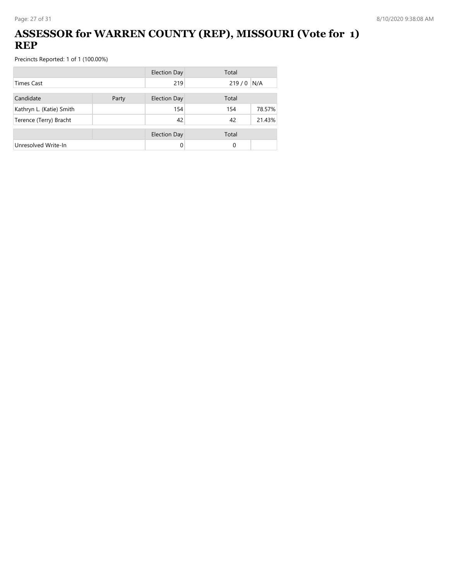## **ASSESSOR for WARREN COUNTY (REP), MISSOURI (Vote for 1) REP**

|                          |       | <b>Election Day</b> | Total |        |
|--------------------------|-------|---------------------|-------|--------|
| <b>Times Cast</b>        |       | 219                 | 219/0 | N/A    |
| Candidate                | Party | <b>Election Day</b> | Total |        |
| Kathryn L. (Katie) Smith |       | 154                 | 154   | 78.57% |
| Terence (Terry) Bracht   |       | 42                  | 42    | 21.43% |
|                          |       | <b>Election Day</b> | Total |        |
| Unresolved Write-In      |       | 0                   | 0     |        |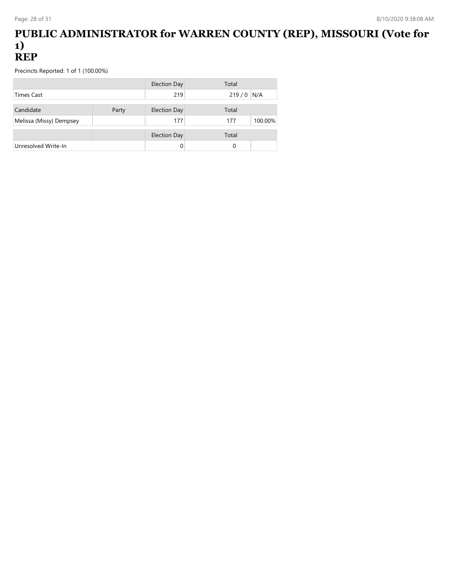#### **PUBLIC ADMINISTRATOR for WARREN COUNTY (REP), MISSOURI (Vote for 1) REP**

|                         |       | Election Day        | Total          |
|-------------------------|-------|---------------------|----------------|
| Times Cast              |       | 219                 | $219/0$ N/A    |
| Candidate               | Party | <b>Election Day</b> | Total          |
| Melissa (Missy) Dempsey |       | 177                 | 100.00%<br>177 |
|                         |       | <b>Election Day</b> | Total          |
| Unresolved Write-In     |       |                     | 0              |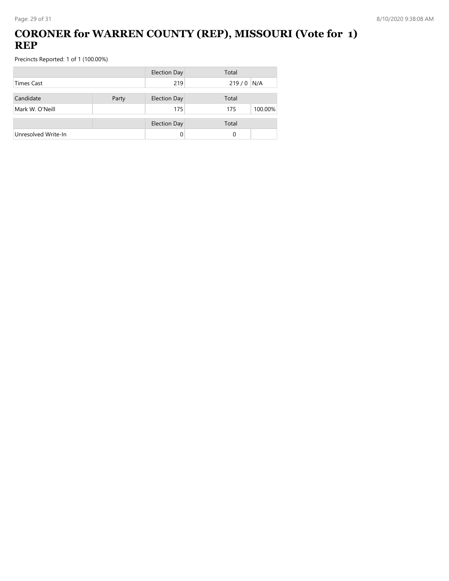## **CORONER for WARREN COUNTY (REP), MISSOURI (Vote for 1) REP**

|                     |       | <b>Election Day</b> | Total          |
|---------------------|-------|---------------------|----------------|
| <b>Times Cast</b>   |       | 219                 | $219/0$ N/A    |
| Candidate           | Party | <b>Election Day</b> | Total          |
| Mark W. O'Neill     |       | 175                 | 100.00%<br>175 |
|                     |       | <b>Election Day</b> | Total          |
| Unresolved Write-In |       | 0                   | 0              |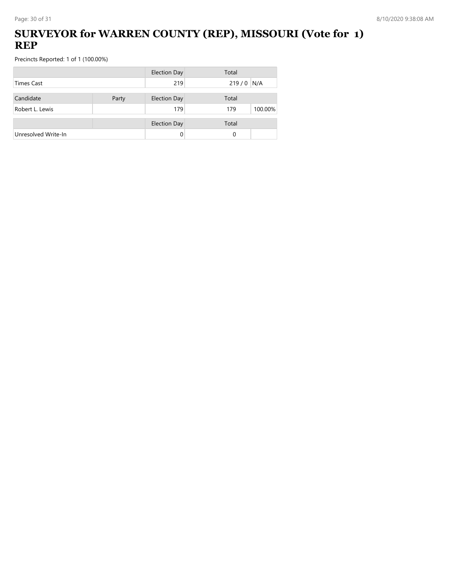## **SURVEYOR for WARREN COUNTY (REP), MISSOURI (Vote for 1) REP**

|                     |       | <b>Election Day</b> | Total          |
|---------------------|-------|---------------------|----------------|
| Times Cast          |       | 219                 | $219/0$ N/A    |
| Candidate           | Party | <b>Election Day</b> | Total          |
| Robert L. Lewis     |       | 179                 | 100.00%<br>179 |
|                     |       | <b>Election Day</b> | Total          |
| Unresolved Write-In |       |                     | 0              |